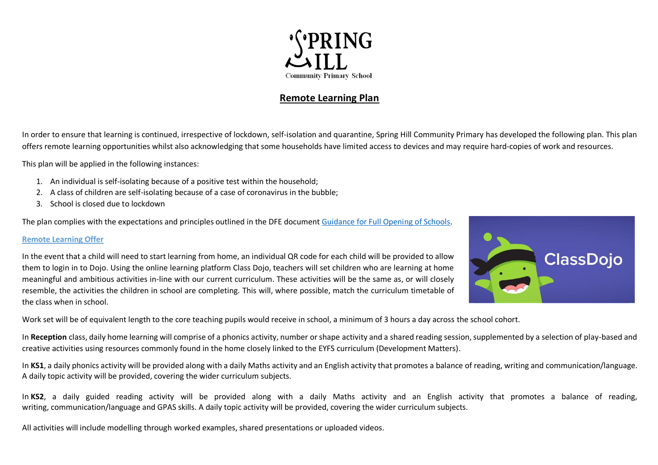

# **Remote Learning Plan**

In order to ensure that learning is continued, irrespective of lockdown, self-isolation and quarantine, Spring Hill Community Primary has developed the following plan. This plan offers remote learning opportunities whilst also acknowledging that some households have limited access to devices and may require hard-copies of work and resources.

This plan will be applied in the following instances:

- 1. An individual is self-isolating because of a positive test within the household;
- 2. A class of children are self-isolating because of a case of coronavirus in the bubble;
- 3. School is closed due to lockdown

The plan complies with the expectations and principles outlined in the DFE document [Guidance for Full Opening of Schools.](https://www.gov.uk/government/publications/actions-for-schools-during-the-coronavirus-outbreak/guidance-for-full-opening-schools#res)

## **Remote Learning Offer**

In the event that a child will need to start learning from home, an individual QR code for each child will be provided to allow them to login in to Dojo. Using the online learning platform Class Dojo, teachers will set children who are learning at home meaningful and ambitious activities in-line with our current curriculum. These activities will be the same as, or will closely resemble, the activities the children in school are completing. This will, where possible, match the curriculum timetable of the class when in school.



Work set will be of equivalent length to the core teaching pupils would receive in school, a minimum of 3 hours a day across the school cohort.

In **Reception** class, daily home learning will comprise of a phonics activity, number or shape activity and a shared reading session, supplemented by a selection of play-based and creative activities using resources commonly found in the home closely linked to the EYFS curriculum (Development Matters).

In KS1, a daily phonics activity will be provided along with a daily Maths activity and an English activity that promotes a balance of reading, writing and communication/language. A daily topic activity will be provided, covering the wider curriculum subjects.

In KS2, a daily guided reading activity will be provided along with a daily Maths activity and an English activity that promotes a balance of reading, writing, communication/language and GPAS skills. A daily topic activity will be provided, covering the wider curriculum subjects.

All activities will include modelling through worked examples, shared presentations or uploaded videos.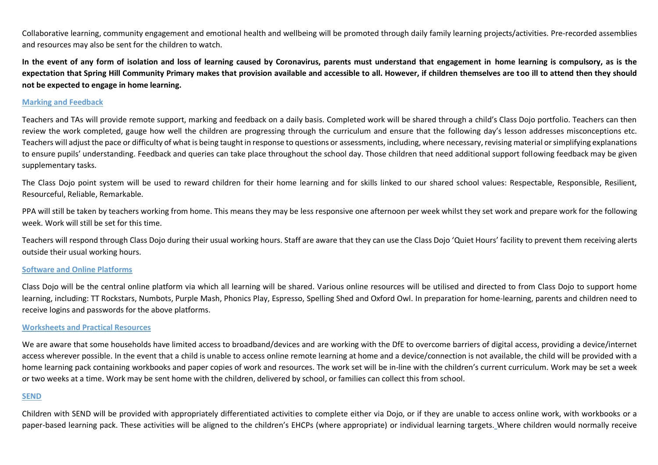Collaborative learning, community engagement and emotional health and wellbeing will be promoted through daily family learning projects/activities. Pre-recorded assemblies and resources may also be sent for the children to watch.

**In the event of any form of isolation and loss of learning caused by Coronavirus, parents must understand that engagement in home learning is compulsory, as is the expectation that Spring Hill Community Primary makes that provision available and accessible to all. However, if children themselves are too ill to attend then they should not be expected to engage in home learning.**

### **Marking and Feedback**

Teachers and TAs will provide remote support, marking and feedback on a daily basis. Completed work will be shared through a child's Class Dojo portfolio. Teachers can then review the work completed, gauge how well the children are progressing through the curriculum and ensure that the following day's lesson addresses misconceptions etc. Teachers will adjust the pace or difficulty of what is being taught in response to questions or assessments, including, where necessary, revising material or simplifying explanations to ensure pupils' understanding. Feedback and queries can take place throughout the school day. Those children that need additional support following feedback may be given supplementary tasks.

The Class Dojo point system will be used to reward children for their home learning and for skills linked to our shared school values: Respectable, Responsible, Resilient, Resourceful, Reliable, Remarkable.

PPA will still be taken by teachers working from home. This means they may be less responsive one afternoon per week whilst they set work and prepare work for the following week. Work will still be set for this time.

Teachers will respond through Class Dojo during their usual working hours. Staff are aware that they can use the Class Dojo 'Quiet Hours' facility to prevent them receiving alerts outside their usual working hours.

#### **Software and Online Platforms**

Class Dojo will be the central online platform via which all learning will be shared. Various online resources will be utilised and directed to from Class Dojo to support home learning, including: TT Rockstars, Numbots, Purple Mash, Phonics Play, Espresso, Spelling Shed and Oxford Owl. In preparation for home-learning, parents and children need to receive logins and passwords for the above platforms.

#### **Worksheets and Practical Resources**

We are aware that some households have limited access to broadband/devices and are working with the DfE to overcome barriers of digital access, providing a device/internet access wherever possible. In the event that a child is unable to access online remote learning at home and a device/connection is not available, the child will be provided with a home learning pack containing workbooks and paper copies of work and resources. The work set will be in-line with the children's current curriculum. Work may be set a week or two weeks at a time. Work may be sent home with the children, delivered by school, or families can collect this from school.

#### **SEND**

Children with SEND will be provided with appropriately differentiated activities to complete either via Dojo, or if they are unable to access online work, with workbooks or a paper-based learning pack. These activities will be aligned to the children's EHCPs (where appropriate) or individual learning targets. Where children would normally receive